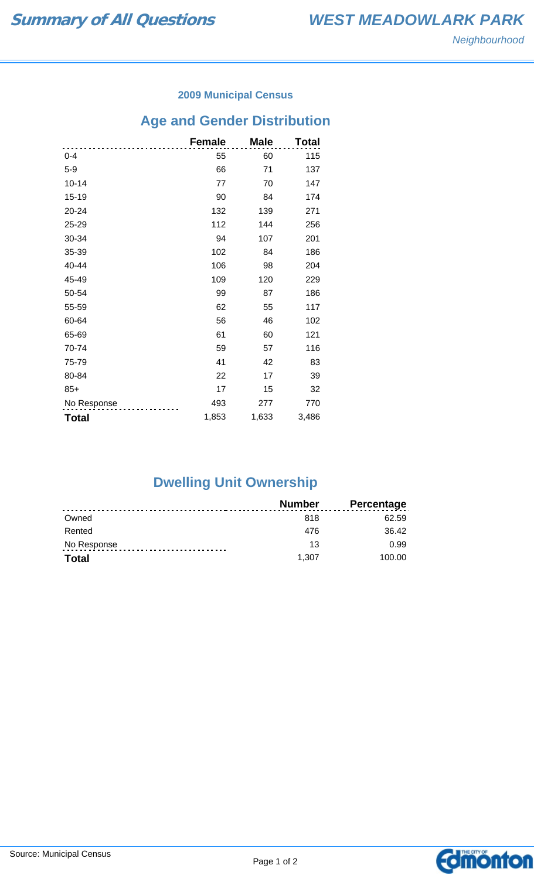### **2009 Municipal Census**

## **Age and Gender Distribution**

|              | <b>Female</b> | <b>Male</b> | Total |
|--------------|---------------|-------------|-------|
| $0 - 4$      | 55            | 60          | 115   |
| $5-9$        | 66            | 71          | 137   |
| $10 - 14$    | 77            | 70          | 147   |
| 15-19        | 90            | 84          | 174   |
| 20-24        | 132           | 139         | 271   |
| 25-29        | 112           | 144         | 256   |
| 30-34        | 94            | 107         | 201   |
| 35-39        | 102           | 84          | 186   |
| 40-44        | 106           | 98          | 204   |
| 45-49        | 109           | 120         | 229   |
| 50-54        | 99            | 87          | 186   |
| 55-59        | 62            | 55          | 117   |
| 60-64        | 56            | 46          | 102   |
| 65-69        | 61            | 60          | 121   |
| 70-74        | 59            | 57          | 116   |
| 75-79        | 41            | 42          | 83    |
| 80-84        | 22            | 17          | 39    |
| $85+$        | 17            | 15          | 32    |
| No Response  | 493           | 277         | 770   |
| <b>Total</b> | 1,853         | 1,633       | 3,486 |

# **Dwelling Unit Ownership**

|              | Number | <b>Percentage</b> |
|--------------|--------|-------------------|
| Owned        | 818    | 62.59             |
| Rented       | 476    | 36.42             |
| No Response  | 13     | 0.99              |
| <b>Total</b> | 1.307  | 100.00            |